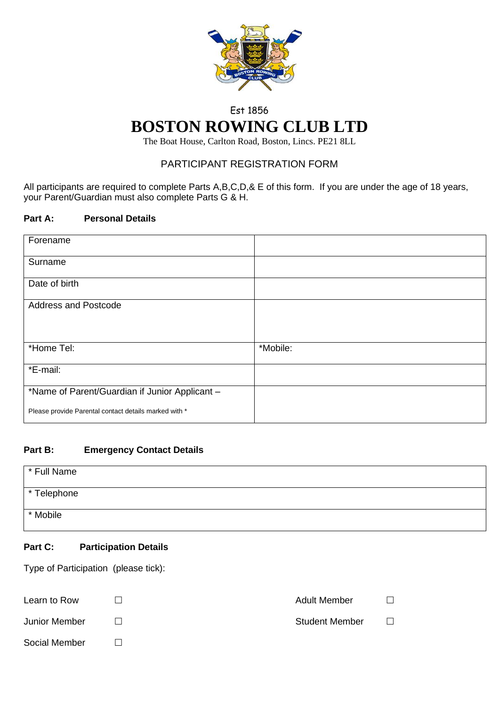

# Est 1856 **BOSTON ROWING CLUB LTD**

The Boat House, Carlton Road, Boston, Lincs. PE21 8LL

## PARTICIPANT REGISTRATION FORM

All participants are required to complete Parts A,B,C,D,& E of this form. If you are under the age of 18 years, your Parent/Guardian must also complete Parts G & H.

## **Part A: Personal Details**

| Forename                                              |          |
|-------------------------------------------------------|----------|
| Surname                                               |          |
| Date of birth                                         |          |
| <b>Address and Postcode</b>                           |          |
|                                                       |          |
| *Home Tel:                                            | *Mobile: |
| *E-mail:                                              |          |
| *Name of Parent/Guardian if Junior Applicant -        |          |
| Please provide Parental contact details marked with * |          |

## **Part B: Emergency Contact Details**

| * Full Name |  |
|-------------|--|
| * Telephone |  |
| * Mobile    |  |

## **Part C: Participation Details**

Type of Participation (please tick):

| Learn to Row  | <b>Adult Member</b>   |  |
|---------------|-----------------------|--|
| Junior Member | <b>Student Member</b> |  |
| Social Member |                       |  |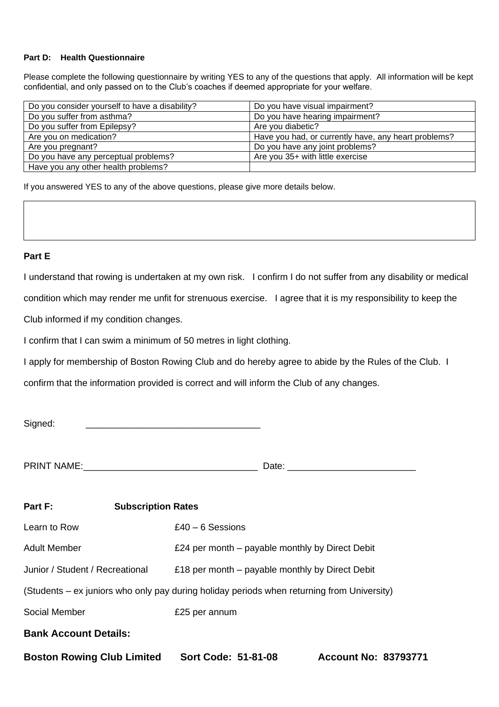#### **Part D: Health Questionnaire**

Please complete the following questionnaire by writing YES to any of the questions that apply. All information will be kept confidential, and only passed on to the Club's coaches if deemed appropriate for your welfare.

| Do you consider yourself to have a disability? | Do you have visual impairment?                       |
|------------------------------------------------|------------------------------------------------------|
| Do you suffer from asthma?                     | Do you have hearing impairment?                      |
| Do you suffer from Epilepsy?                   | Are you diabetic?                                    |
| Are you on medication?                         | Have you had, or currently have, any heart problems? |
| Are you pregnant?                              | Do you have any joint problems?                      |
| Do you have any perceptual problems?           | Are you 35+ with little exercise                     |
| Have you any other health problems?            |                                                      |

If you answered YES to any of the above questions, please give more details below.

#### **Part E**

I understand that rowing is undertaken at my own risk. I confirm I do not suffer from any disability or medical

condition which may render me unfit for strenuous exercise. I agree that it is my responsibility to keep the

Club informed if my condition changes.

I confirm that I can swim a minimum of 50 metres in light clothing.

I apply for membership of Boston Rowing Club and do hereby agree to abide by the Rules of the Club. I

confirm that the information provided is correct and will inform the Club of any changes.

| Signed: |
|---------|
|---------|

PRINT NAME:\_\_\_\_\_\_\_\_\_\_\_\_\_\_\_\_\_\_\_\_\_\_\_\_\_\_\_\_\_\_\_\_\_\_ Date: \_\_\_\_\_\_\_\_\_\_\_\_\_\_\_\_\_\_\_\_\_\_\_\_\_

| Part F:                                                                                    | <b>Subscription Rates</b> |                                                   |                             |  |
|--------------------------------------------------------------------------------------------|---------------------------|---------------------------------------------------|-----------------------------|--|
| Learn to Row                                                                               |                           | $£40 - 6$ Sessions                                |                             |  |
| Adult Member                                                                               |                           | £24 per month – payable monthly by Direct Debit   |                             |  |
| Junior / Student / Recreational                                                            |                           | £18 per month $-$ payable monthly by Direct Debit |                             |  |
| (Students – ex juniors who only pay during holiday periods when returning from University) |                           |                                                   |                             |  |
| Social Member                                                                              |                           | £25 per annum                                     |                             |  |
| <b>Bank Account Details:</b>                                                               |                           |                                                   |                             |  |
| <b>Boston Rowing Club Limited</b>                                                          |                           | Sort Code: 51-81-08                               | <b>Account No: 83793771</b> |  |